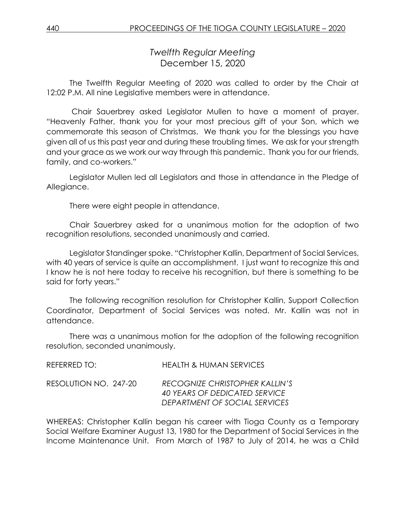# *Twelfth Regular Meeting* December 15, 2020

The Twelfth Regular Meeting of 2020 was called to order by the Chair at 12:02 P.M. All nine Legislative members were in attendance.

Chair Sauerbrey asked Legislator Mullen to have a moment of prayer. "Heavenly Father, thank you for your most precious gift of your Son, which we commemorate this season of Christmas. We thank you for the blessings you have given all of us this past year and during these troubling times. We ask for your strength and your grace as we work our way through this pandemic. Thank you for our friends, family, and co-workers."

Legislator Mullen led all Legislators and those in attendance in the Pledge of Allegiance.

There were eight people in attendance.

Chair Sauerbrey asked for a unanimous motion for the adoption of two recognition resolutions, seconded unanimously and carried.

Legislator Standinger spoke. "Christopher Kallin, Department of Social Services, with 40 years of service is quite an accomplishment. I just want to recognize this and I know he is not here today to receive his recognition, but there is something to be said for forty years."

The following recognition resolution for Christopher Kallin, Support Collection Coordinator, Department of Social Services was noted. Mr. Kallin was not in attendance.

There was a unanimous motion for the adoption of the following recognition resolution, seconded unanimously.

| REFERRED TO: I        | <b>HEALTH &amp; HUMAN SERVICES</b>                                                                      |
|-----------------------|---------------------------------------------------------------------------------------------------------|
| RESOLUTION NO. 247-20 | <b>RECOGNIZE CHRISTOPHER KALLIN'S</b><br>40 YEARS OF DEDICATED SERVICE<br>DEPARTMENT OF SOCIAL SERVICES |

WHEREAS: Christopher Kallin began his career with Tioga County as a Temporary Social Welfare Examiner August 13, 1980 for the Department of Social Services in the Income Maintenance Unit. From March of 1987 to July of 2014, he was a Child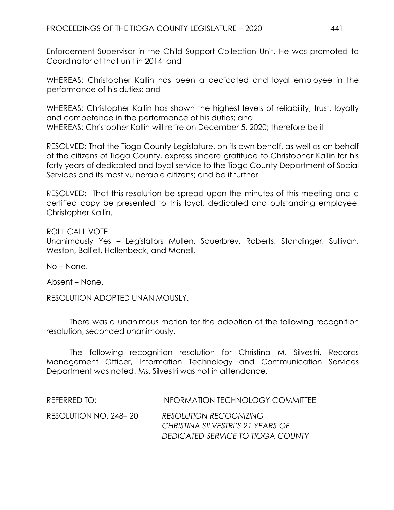Enforcement Supervisor in the Child Support Collection Unit. He was promoted to Coordinator of that unit in 2014; and

WHEREAS: Christopher Kallin has been a dedicated and loyal employee in the performance of his duties; and

WHEREAS: Christopher Kallin has shown the highest levels of reliability, trust, loyalty and competence in the performance of his duties; and WHEREAS: Christopher Kallin will retire on December 5, 2020; therefore be it

RESOLVED: That the Tioga County Legislature, on its own behalf, as well as on behalf of the citizens of Tioga County, express sincere gratitude to Christopher Kallin for his forty years of dedicated and loyal service to the Tioga County Department of Social Services and its most vulnerable citizens; and be it further

RESOLVED: That this resolution be spread upon the minutes of this meeting and a certified copy be presented to this loyal, dedicated and outstanding employee, Christopher Kallin.

#### ROLL CALL VOTE

Unanimously Yes – Legislators Mullen, Sauerbrey, Roberts, Standinger, Sullivan, Weston, Balliet, Hollenbeck, and Monell.

No – None.

Absent – None.

RESOLUTION ADOPTED UNANIMOUSLY.

There was a unanimous motion for the adoption of the following recognition resolution, seconded unanimously.

The following recognition resolution for Christina M. Silvestri, Records Management Officer, Information Technology and Communication Services Department was noted. Ms. Silvestri was not in attendance.

| REFERRED TO:          | INFORMATION TECHNOLOGY COMMITTEE  |
|-----------------------|-----------------------------------|
| RESOLUTION NO. 248–20 | <b>RESOLUTION RECOGNIZING</b>     |
|                       | CHRISTINA SILVESTRI'S 21 YEARS OF |
|                       | DEDICATED SERVICE TO TIOGA COUNTY |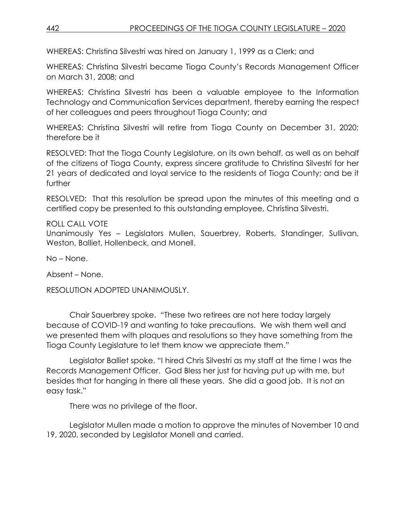WHEREAS: Christina Silvestri was hired on January 1, 1999 as a Clerk; and

WHEREAS: Christina Silvestri became Tioga County's Records Management Officer on March 31, 2008; and

WHEREAS: Christina Silvestri has been a valuable employee to the Information Technology and Communication Services department, thereby earning the respect of her colleagues and peers throughout Tioga County; and

WHEREAS: Christina Silvestri will retire from Tioga County on December 31, 2020; therefore be it

RESOLVED: That the Tioga County Legislature, on its own behalf, as well as on behalf of the citizens of Tioga County, express sincere gratitude to Christina Silvestri for her 21 years of dedicated and loyal service to the residents of Tioga County; and be it further

RESOLVED: That this resolution be spread upon the minutes of this meeting and a certified copy be presented to this outstanding employee, Christina Silvestri.

ROLL CALL VOTE Unanimously Yes – Legislators Mullen, Sauerbrey, Roberts, Standinger, Sullivan, Weston, Balliet, Hollenbeck, and Monell.

No – None.

Absent – None.

RESOLUTION ADOPTED UNANIMOUSLY.

Chair Sauerbrey spoke. "These two retirees are not here today largely because of COVID-19 and wanting to take precautions. We wish them well and we presented them with plaques and resolutions so they have something from the Tioga County Legislature to let them know we appreciate them."

Legislator Balliet spoke. "I hired Chris Silvestri as my staff at the time I was the Records Management Officer. God Bless her just for having put up with me, but besides that for hanging in there all these years. She did a good job. It is not an easy task."

There was no privilege of the floor.

Legislator Mullen made a motion to approve the minutes of November 10 and 19, 2020, seconded by Legislator Monell and carried.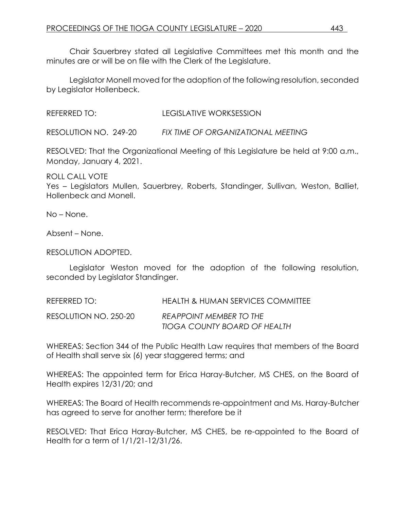Chair Sauerbrey stated all Legislative Committees met this month and the minutes are or will be on file with the Clerk of the Legislature.

Legislator Monell moved for the adoption of the following resolution, seconded by Legislator Hollenbeck.

REFERRED TO: LEGISLATIVE WORKSESSION

RESOLUTION NO. 249-20 *FIX TIME OF ORGANIZATIONAL MEETING*

RESOLVED: That the Organizational Meeting of this Legislature be held at 9:00 a.m., Monday, January 4, 2021.

ROLL CALL VOTE Yes – Legislators Mullen, Sauerbrey, Roberts, Standinger, Sullivan, Weston, Balliet, Hollenbeck and Monell.

No – None.

Absent – None.

RESOLUTION ADOPTED.

Legislator Weston moved for the adoption of the following resolution, seconded by Legislator Standinger.

REFERRED TO: HEALTH & HUMAN SERVICES COMMITTEE RESOLUTION NO. 250-20 *REAPPOINT MEMBER TO THE TIOGA COUNTY BOARD OF HEALTH*

WHEREAS: Section 344 of the Public Health Law requires that members of the Board of Health shall serve six (6) year staggered terms; and

WHEREAS: The appointed term for Erica Haray-Butcher, MS CHES, on the Board of Health expires 12/31/20; and

WHEREAS: The Board of Health recommends re-appointment and Ms. Haray-Butcher has agreed to serve for another term; therefore be it

RESOLVED: That Erica Haray-Butcher, MS CHES, be re-appointed to the Board of Health for a term of 1/1/21-12/31/26.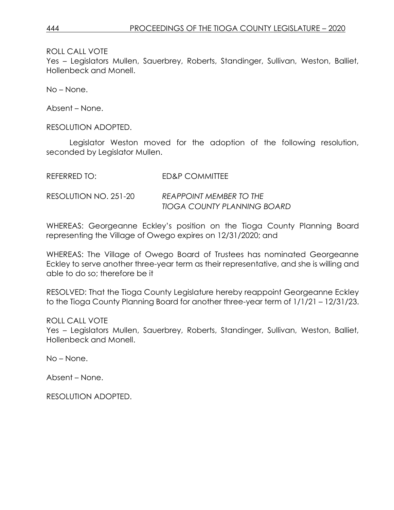ROLL CALL VOTE

Yes – Legislators Mullen, Sauerbrey, Roberts, Standinger, Sullivan, Weston, Balliet, Hollenbeck and Monell.

No – None.

Absent – None.

RESOLUTION ADOPTED.

Legislator Weston moved for the adoption of the following resolution, seconded by Legislator Mullen.

| REFERRED TO:          | ED&P COMMITTEE                     |
|-----------------------|------------------------------------|
| RESOLUTION NO. 251-20 | REAPPOINT MEMBER TO THE            |
|                       | <b>TIOGA COUNTY PLANNING BOARD</b> |

WHEREAS: Georgeanne Eckley's position on the Tioga County Planning Board representing the Village of Owego expires on 12/31/2020; and

WHEREAS: The Village of Owego Board of Trustees has nominated Georgeanne Eckley to serve another three-year term as their representative, and she is willing and able to do so; therefore be it

RESOLVED: That the Tioga County Legislature hereby reappoint Georgeanne Eckley to the Tioga County Planning Board for another three-year term of 1/1/21 – 12/31/23.

ROLL CALL VOTE Yes – Legislators Mullen, Sauerbrey, Roberts, Standinger, Sullivan, Weston, Balliet, Hollenbeck and Monell.

No – None.

Absent – None.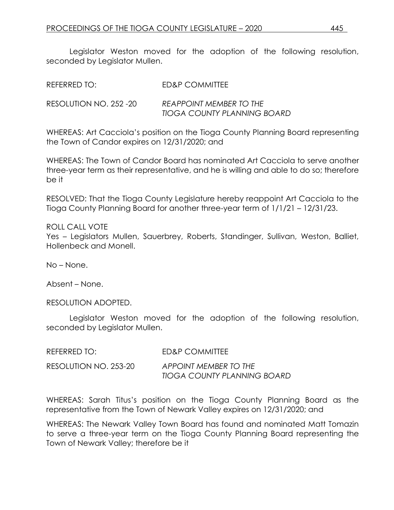Legislator Weston moved for the adoption of the following resolution, seconded by Legislator Mullen.

| REFERRED TO:           | ED&P COMMITTEE                                         |
|------------------------|--------------------------------------------------------|
| RESOLUTION NO. 252 -20 | REAPPOINT MEMBER TO THE<br>TIOGA COUNTY PLANNING BOARD |

WHEREAS: Art Cacciola's position on the Tioga County Planning Board representing the Town of Candor expires on 12/31/2020; and

WHEREAS: The Town of Candor Board has nominated Art Cacciola to serve another three-year term as their representative, and he is willing and able to do so; therefore be it

RESOLVED: That the Tioga County Legislature hereby reappoint Art Cacciola to the Tioga County Planning Board for another three-year term of 1/1/21 – 12/31/23.

#### ROLL CALL VOTE

Yes – Legislators Mullen, Sauerbrey, Roberts, Standinger, Sullivan, Weston, Balliet, Hollenbeck and Monell.

No – None.

Absent – None.

RESOLUTION ADOPTED.

Legislator Weston moved for the adoption of the following resolution, seconded by Legislator Mullen.

| REFERRED TO:          | <b>ED&amp;P COMMITTEE</b>                            |
|-----------------------|------------------------------------------------------|
| RESOLUTION NO. 253-20 | APPOINT MEMBER TO THE<br>TIOGA COUNTY PLANNING BOARD |

WHEREAS: Sarah Titus's position on the Tioga County Planning Board as the representative from the Town of Newark Valley expires on 12/31/2020; and

WHEREAS: The Newark Valley Town Board has found and nominated Matt Tomazin to serve a three-year term on the Tioga County Planning Board representing the Town of Newark Valley; therefore be it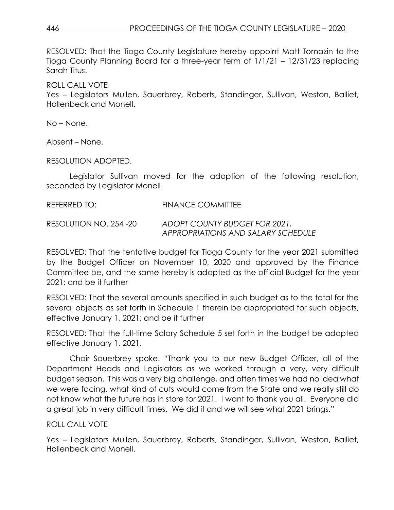RESOLVED: That the Tioga County Legislature hereby appoint Matt Tomazin to the Tioga County Planning Board for a three-year term of 1/1/21 – 12/31/23 replacing Sarah Titus.

ROLL CALL VOTE

Yes – Legislators Mullen, Sauerbrey, Roberts, Standinger, Sullivan, Weston, Balliet, Hollenbeck and Monell.

No – None.

Absent – None.

RESOLUTION ADOPTED.

Legislator Sullivan moved for the adoption of the following resolution, seconded by Legislator Monell.

REFERRED TO: FINANCE COMMITTEE

RESOLUTION NO. 254 -20 *ADOPT COUNTY BUDGET FOR 2021, APPROPRIATIONS AND SALARY SCHEDULE*

RESOLVED: That the tentative budget for Tioga County for the year 2021 submitted by the Budget Officer on November 10, 2020 and approved by the Finance Committee be, and the same hereby is adopted as the official Budget for the year 2021; and be it further

RESOLVED: That the several amounts specified in such budget as to the total for the several objects as set forth in Schedule 1 therein be appropriated for such objects, effective January 1, 2021; and be it further

RESOLVED: That the full-time Salary Schedule 5 set forth in the budget be adopted effective January 1, 2021.

Chair Sauerbrey spoke. "Thank you to our new Budget Officer, all of the Department Heads and Legislators as we worked through a very, very difficult budget season. This was a very big challenge, and often times we had no idea what we were facing, what kind of cuts would come from the State and we really still do not know what the future has in store for 2021. I want to thank you all. Everyone did a great job in very difficult times. We did it and we will see what 2021 brings."

### ROLL CALL VOTE

Yes – Legislators Mullen, Sauerbrey, Roberts, Standinger, Sullivan, Weston, Balliet, Hollenbeck and Monell.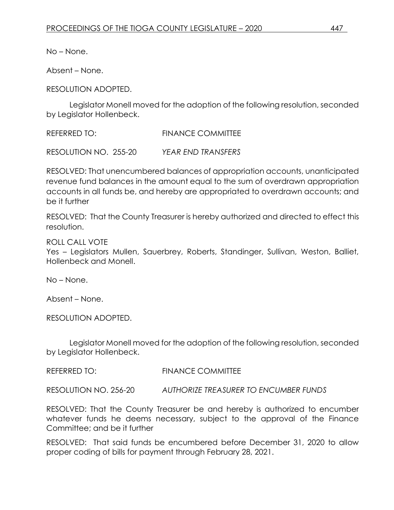No – None.

Absent – None.

RESOLUTION ADOPTED.

Legislator Monell moved for the adoption of the following resolution, seconded by Legislator Hollenbeck.

REFERRED TO: FINANCE COMMITTEE

RESOLUTION NO. 255-20 *YEAR END TRANSFERS*

RESOLVED: That unencumbered balances of appropriation accounts, unanticipated revenue fund balances in the amount equal to the sum of overdrawn appropriation accounts in all funds be, and hereby are appropriated to overdrawn accounts; and be it further

RESOLVED: That the County Treasurer is hereby authorized and directed to effect this resolution.

ROLL CALL VOTE

Yes – Legislators Mullen, Sauerbrey, Roberts, Standinger, Sullivan, Weston, Balliet, Hollenbeck and Monell.

No – None.

Absent – None.

RESOLUTION ADOPTED.

Legislator Monell moved for the adoption of the following resolution, seconded by Legislator Hollenbeck.

REFERRED TO: FINANCE COMMITTEE

RESOLUTION NO. 256-20 *AUTHORIZE TREASURER TO ENCUMBER FUNDS*

RESOLVED: That the County Treasurer be and hereby is authorized to encumber whatever funds he deems necessary, subject to the approval of the Finance Committee; and be it further

RESOLVED: That said funds be encumbered before December 31, 2020 to allow proper coding of bills for payment through February 28, 2021.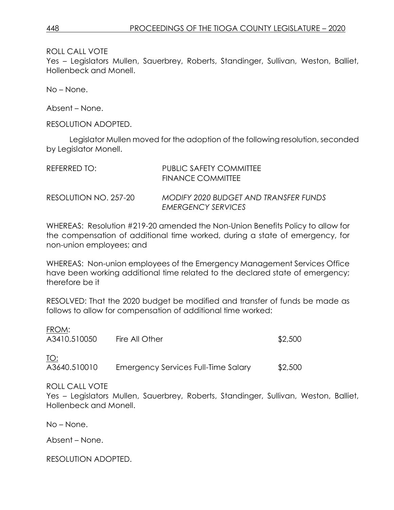ROLL CALL VOTE

Yes – Legislators Mullen, Sauerbrey, Roberts, Standinger, Sullivan, Weston, Balliet, Hollenbeck and Monell.

No – None.

Absent – None.

RESOLUTION ADOPTED.

Legislator Mullen moved for the adoption of the following resolution, seconded by Legislator Monell.

| REFERRED TO:          | PUBLIC SAFETY COMMITTEE<br>FINANCE COMMITTEE                       |
|-----------------------|--------------------------------------------------------------------|
| RESOLUTION NO. 257-20 | MODIFY 2020 BUDGET AND TRANSFER FUNDS<br><b>EMERGENCY SERVICES</b> |

WHEREAS: Resolution #219-20 amended the Non-Union Benefits Policy to allow for the compensation of additional time worked, during a state of emergency, for non-union employees; and

WHEREAS: Non-union employees of the Emergency Management Services Office have been working additional time related to the declared state of emergency; therefore be it

RESOLVED: That the 2020 budget be modified and transfer of funds be made as follows to allow for compensation of additional time worked:

| FROM:<br>A3410.510050 | Fire All Other                      | \$2,500 |
|-----------------------|-------------------------------------|---------|
| TO:<br>A3640.510010   | Emergency Services Full-Time Salary | \$2,500 |

### ROLL CALL VOTE

Yes – Legislators Mullen, Sauerbrey, Roberts, Standinger, Sullivan, Weston, Balliet, Hollenbeck and Monell.

No – None.

Absent – None.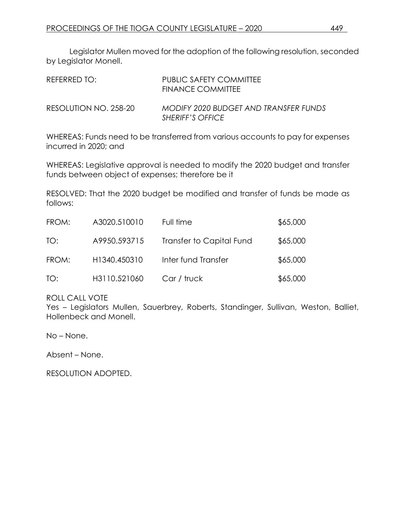Legislator Mullen moved for the adoption of the following resolution, seconded by Legislator Monell.

| REFERRED TO:          | PUBLIC SAFETY COMMITTEE<br>FINANCE COMMITTEE                     |
|-----------------------|------------------------------------------------------------------|
| RESOLUTION NO. 258-20 | MODIFY 2020 BUDGET AND TRANSFER FUNDS<br><b>SHERIFF'S OFFICE</b> |

WHEREAS: Funds need to be transferred from various accounts to pay for expenses incurred in 2020; and

WHEREAS: Legislative approval is needed to modify the 2020 budget and transfer funds between object of expenses; therefore be it

RESOLVED: That the 2020 budget be modified and transfer of funds be made as follows:

| FROM: | A3020.510010 | Full time                | \$65,000 |
|-------|--------------|--------------------------|----------|
| TO:   | A9950.593715 | Transfer to Capital Fund | \$65,000 |
| FROM: | H1340.450310 | Inter fund Transfer      | \$65,000 |
| TO:   | H3110.521060 | Car / truck              | \$65,000 |

ROLL CALL VOTE

Yes – Legislators Mullen, Sauerbrey, Roberts, Standinger, Sullivan, Weston, Balliet, Hollenbeck and Monell.

No – None.

Absent – None.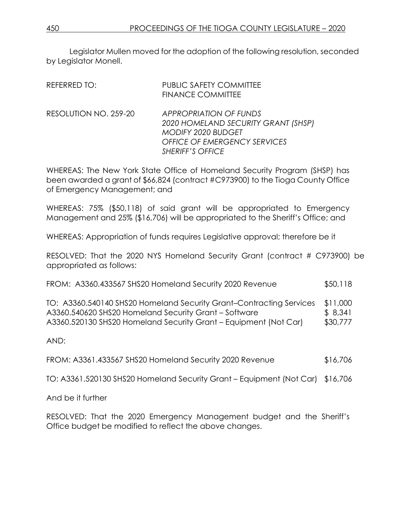Legislator Mullen moved for the adoption of the following resolution, seconded by Legislator Monell.

| REFERRED TO:          | <b>PUBLIC SAFETY COMMITTEE</b><br><b>FINANCE COMMITTEE</b>                                                                                                   |
|-----------------------|--------------------------------------------------------------------------------------------------------------------------------------------------------------|
| RESOLUTION NO. 259-20 | <b>APPROPRIATION OF FUNDS</b><br>2020 HOMELAND SECURITY GRANT (SHSP)<br>MODIFY 2020 BUDGET<br><b>OFFICE OF EMERGENCY SERVICES</b><br><b>SHERIFF'S OFFICE</b> |

WHEREAS: The New York State Office of Homeland Security Program (SHSP) has been awarded a grant of \$66,824 (contract #C973900) to the Tioga County Office of Emergency Management; and

WHEREAS: 75% (\$50,118) of said grant will be appropriated to Emergency Management and 25% (\$16,706) will be appropriated to the Sheriff's Office; and

WHEREAS: Appropriation of funds requires Legislative approval; therefore be it

RESOLVED: That the 2020 NYS Homeland Security Grant (contract # C973900) be appropriated as follows:

|  |  | FROM: A3360.433567 SHS20 Homeland Security 2020 Revenue | \$50,118 |
|--|--|---------------------------------------------------------|----------|
|--|--|---------------------------------------------------------|----------|

| TO: A3360.540140 SHS20 Homeland Security Grant–Contracting Services | \$11,000 |
|---------------------------------------------------------------------|----------|
| A3360.540620 SHS20 Homeland Security Grant – Software               | \$ 8,341 |
| A3360.520130 SHS20 Homeland Security Grant – Equipment (Not Car)    | \$30,777 |

AND:

FROM: A3361.433567 SHS20 Homeland Security 2020 Revenue \$16,706

TO: A3361.520130 SHS20 Homeland Security Grant – Equipment (Not Car) \$16,706

And be it further

RESOLVED: That the 2020 Emergency Management budget and the Sheriff's Office budget be modified to reflect the above changes.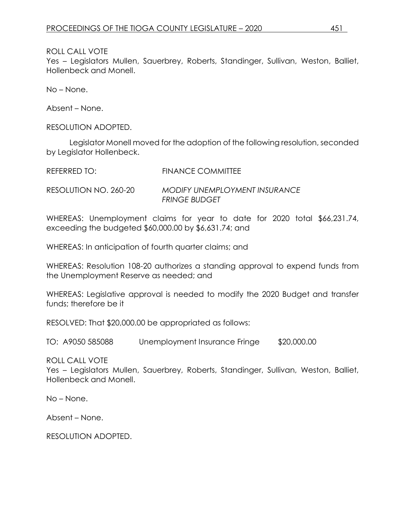#### ROLL CALL VOTE

Yes – Legislators Mullen, Sauerbrey, Roberts, Standinger, Sullivan, Weston, Balliet, Hollenbeck and Monell.

No – None.

Absent – None.

RESOLUTION ADOPTED.

Legislator Monell moved for the adoption of the following resolution, seconded by Legislator Hollenbeck.

| REFERRED TO:          | FINANCE COMMITTEE                              |
|-----------------------|------------------------------------------------|
| RESOLUTION NO. 260-20 | MODIFY UNEMPLOYMENT INSURANCE<br>FRINGE BUDGET |

WHEREAS: Unemployment claims for year to date for 2020 total \$66,231.74, exceeding the budgeted \$60,000.00 by \$6,631.74; and

WHEREAS: In anticipation of fourth quarter claims; and

WHEREAS: Resolution 108-20 authorizes a standing approval to expend funds from the Unemployment Reserve as needed; and

WHEREAS: Legislative approval is needed to modify the 2020 Budget and transfer funds; therefore be it

RESOLVED: That \$20,000.00 be appropriated as follows:

TO: A9050 585088 Unemployment Insurance Fringe \$20,000.00

ROLL CALL VOTE

Yes – Legislators Mullen, Sauerbrey, Roberts, Standinger, Sullivan, Weston, Balliet, Hollenbeck and Monell.

No – None.

Absent – None.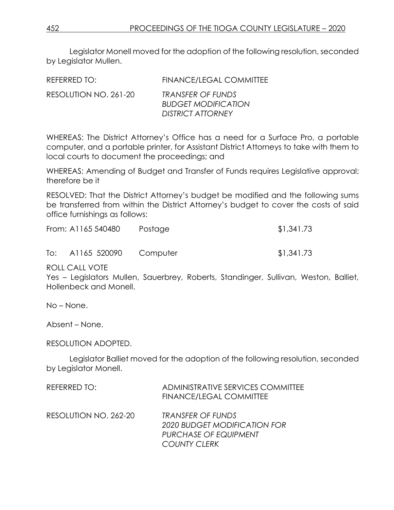Legislator Monell moved for the adoption of the following resolution, seconded by Legislator Mullen.

| REFERRED TO:          | <b>FINANCE/LEGAL COMMITTEE</b>                                              |
|-----------------------|-----------------------------------------------------------------------------|
| RESOLUTION NO. 261-20 | TRANSFER OF FUNDS<br><b>BUDGET MODIFICATION</b><br><b>DISTRICT ATTORNEY</b> |

WHEREAS: The District Attorney's Office has a need for a Surface Pro, a portable computer, and a portable printer, for Assistant District Attorneys to take with them to local courts to document the proceedings; and

WHEREAS: Amending of Budget and Transfer of Funds requires Legislative approval; therefore be it

RESOLVED: That the District Attorney's budget be modified and the following sums be transferred from within the District Attorney's budget to cover the costs of said office furnishings as follows:

|     | From: A1165 540480    | Postage | \$1,341.73 |
|-----|-----------------------|---------|------------|
| To: | A1165 520090 Computer |         | \$1,341.73 |

ROLL CALL VOTE

Yes – Legislators Mullen, Sauerbrey, Roberts, Standinger, Sullivan, Weston, Balliet, Hollenbeck and Monell.

No – None.

Absent – None.

RESOLUTION ADOPTED.

Legislator Balliet moved for the adoption of the following resolution, seconded by Legislator Monell.

| REFERRED TO:          | <b>ADMINISTRATIVE SERVICES COMMITTEE</b><br><b>FINANCE/LEGAL COMMITTEE</b>                               |
|-----------------------|----------------------------------------------------------------------------------------------------------|
| RESOLUTION NO. 262-20 | <b>TRANSFER OF FUNDS</b><br>2020 BUDGET MODIFICATION FOR<br>PURCHASE OF EQUIPMENT<br><b>COUNTY CLERK</b> |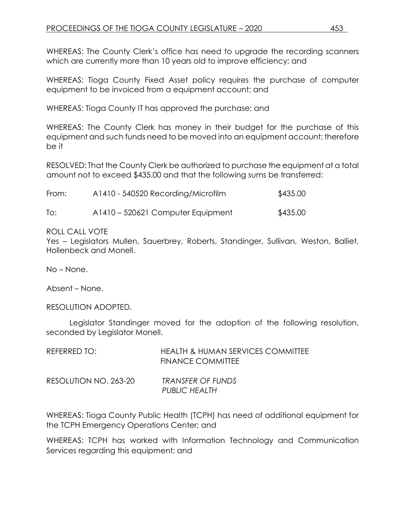WHEREAS: The County Clerk's office has need to upgrade the recording scanners which are currently more than 10 years old to improve efficiency; and

WHEREAS: Tioga County Fixed Asset policy requires the purchase of computer equipment to be invoiced from a equipment account; and

WHEREAS: Tioga County IT has approved the purchase; and

WHEREAS: The County Clerk has money in their budget for the purchase of this equipment and such funds need to be moved into an equipment account; therefore be it

RESOLVED: That the County Clerk be authorized to purchase the equipment at a total amount not to exceed \$435.00 and that the following sums be transferred:

| From: | A1410 - 540520 Recording/Microfilm | \$435.00 |
|-------|------------------------------------|----------|
| To:   | A1410 – 520621 Computer Equipment  | \$435.00 |

### ROLL CALL VOTE

Yes – Legislators Mullen, Sauerbrey, Roberts, Standinger, Sullivan, Weston, Balliet, Hollenbeck and Monell.

No – None.

Absent – None.

RESOLUTION ADOPTED.

Legislator Standinger moved for the adoption of the following resolution, seconded by Legislator Monell.

| REFERRED TO:          | <b>HEALTH &amp; HUMAN SERVICES COMMITTEE</b><br><b>FINANCE COMMITTEE</b> |
|-----------------------|--------------------------------------------------------------------------|
| RESOLUTION NO. 263-20 | TRANSFER OF FUNDS<br>PUBLIC HEALTH                                       |

WHEREAS: Tioga County Public Health (TCPH) has need of additional equipment for the TCPH Emergency Operations Center; and

WHEREAS: TCPH has worked with Information Technology and Communication Services regarding this equipment; and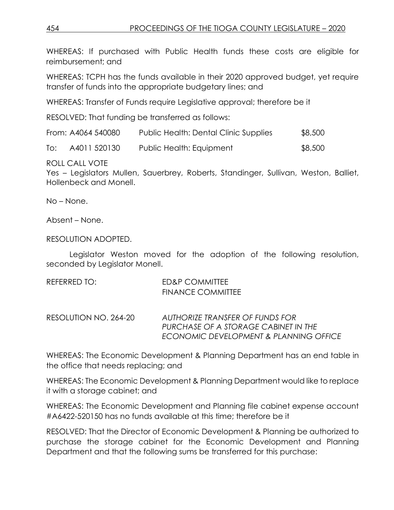WHEREAS: If purchased with Public Health funds these costs are eligible for reimbursement; and

WHEREAS: TCPH has the funds available in their 2020 approved budget, yet require transfer of funds into the appropriate budgetary lines; and

WHEREAS: Transfer of Funds require Legislative approval; therefore be it

RESOLVED: That funding be transferred as follows:

|     | From: A4064 540080 | Public Health: Dental Clinic Supplies | \$8,500 |
|-----|--------------------|---------------------------------------|---------|
| To: | A4011 520130       | Public Health: Equipment              | \$8,500 |

ROLL CALL VOTE

Yes – Legislators Mullen, Sauerbrey, Roberts, Standinger, Sullivan, Weston, Balliet, Hollenbeck and Monell.

No – None.

Absent – None.

RESOLUTION ADOPTED.

Legislator Weston moved for the adoption of the following resolution, seconded by Legislator Monell.

| REFERRED TO: | ED&P COMMITTEE           |
|--------------|--------------------------|
|              | <b>FINANCE COMMITTEE</b> |
|              |                          |

RESOLUTION NO. 264-20 *AUTHORIZE TRANSFER OF FUNDS FOR PURCHASE OF A STORAGE CABINET IN THE ECONOMIC DEVELOPMENT & PLANNING OFFICE*

WHEREAS: The Economic Development & Planning Department has an end table in the office that needs replacing; and

WHEREAS: The Economic Development & Planning Department would like to replace it with a storage cabinet; and

WHEREAS: The Economic Development and Planning file cabinet expense account #A6422-520150 has no funds available at this time; therefore be it

RESOLVED: That the Director of Economic Development & Planning be authorized to purchase the storage cabinet for the Economic Development and Planning Department and that the following sums be transferred for this purchase: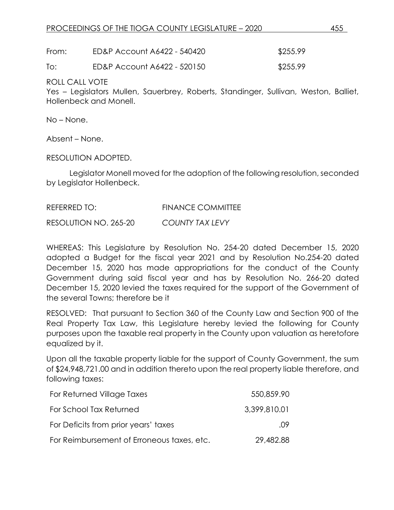From: ED&P Account A6422 - 540420 \$255.99

To: ED&P Account A6422 - 520150 \$255.99

ROLL CALL VOTE

Yes – Legislators Mullen, Sauerbrey, Roberts, Standinger, Sullivan, Weston, Balliet, Hollenbeck and Monell.

No – None.

Absent – None.

RESOLUTION ADOPTED.

Legislator Monell moved for the adoption of the following resolution, seconded by Legislator Hollenbeck.

REFERRED TO: FINANCE COMMITTEE

RESOLUTION NO. 265-20 *COUNTY TAX LEVY*

WHEREAS: This Legislature by Resolution No. 254-20 dated December 15, 2020 adopted a Budget for the fiscal year 2021 and by Resolution No.254-20 dated December 15, 2020 has made appropriations for the conduct of the County Government during said fiscal year and has by Resolution No. 266-20 dated December 15, 2020 levied the taxes required for the support of the Government of the several Towns; therefore be it

RESOLVED: That pursuant to Section 360 of the County Law and Section 900 of the Real Property Tax Law, this Legislature hereby levied the following for County purposes upon the taxable real property in the County upon valuation as heretofore equalized by it.

Upon all the taxable property liable for the support of County Government, the sum of \$24,948,721.00 and in addition thereto upon the real property liable therefore, and following taxes:

| For Returned Village Taxes                 | 550,859.90   |
|--------------------------------------------|--------------|
| For School Tax Returned                    | 3,399,810.01 |
| For Deficits from prior years' taxes       | .09          |
| For Reimbursement of Erroneous taxes, etc. | 29,482.88    |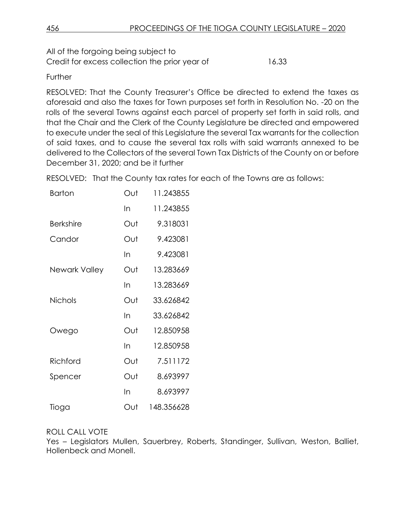All of the forgoing being subject to Credit for excess collection the prior year of 16.33

## **Further**

RESOLVED: That the County Treasurer's Office be directed to extend the taxes as aforesaid and also the taxes for Town purposes set forth in Resolution No. -20 on the rolls of the several Towns against each parcel of property set forth in said rolls, and that the Chair and the Clerk of the County Legislature be directed and empowered to execute under the seal of this Legislature the several Tax warrants for the collection of said taxes, and to cause the several tax rolls with said warrants annexed to be delivered to the Collectors of the several Town Tax Districts of the County on or before December 31, 2020; and be it further

RESOLVED: That the County tax rates for each of the Towns are as follows:

| Barton           | Out | 11.243855  |
|------------------|-----|------------|
|                  | In  | 11.243855  |
| <b>Berkshire</b> | Out | 9.318031   |
| Candor           | Out | 9.423081   |
|                  | In  | 9.423081   |
| Newark Valley    | Out | 13.283669  |
|                  | In  | 13.283669  |
| <b>Nichols</b>   | Out | 33.626842  |
|                  | In  | 33.626842  |
| Owego            | Out | 12.850958  |
|                  | In  | 12.850958  |
| Richford         | Out | 7.511172   |
| Spencer          | Out | 8.693997   |
|                  | In  | 8.693997   |
| Tioga            | Out | 148.356628 |

## ROLL CALL VOTE

Yes – Legislators Mullen, Sauerbrey, Roberts, Standinger, Sullivan, Weston, Balliet, Hollenbeck and Monell.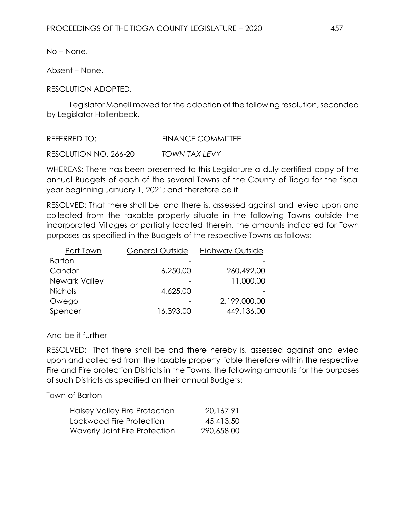No – None.

Absent – None.

### RESOLUTION ADOPTED.

Legislator Monell moved for the adoption of the following resolution, seconded by Legislator Hollenbeck.

REFERRED TO: FINANCE COMMITTEE

RESOLUTION NO. 266-20 *TOWN TAX LEVY*

WHEREAS: There has been presented to this Legislature a duly certified copy of the annual Budgets of each of the several Towns of the County of Tioga for the fiscal year beginning January 1, 2021; and therefore be it

RESOLVED: That there shall be, and there is, assessed against and levied upon and collected from the taxable property situate in the following Towns outside the incorporated Villages or partially located therein, the amounts indicated for Town purposes as specified in the Budgets of the respective Towns as follows:

| General Outside | <b>Highway Outside</b> |
|-----------------|------------------------|
|                 |                        |
| 6,250.00        | 260,492.00             |
|                 | 11,000.00              |
| 4,625.00        |                        |
|                 | 2,199,000.00           |
| 16,393.00       | 449,136.00             |
|                 |                        |

### And be it further

RESOLVED: That there shall be and there hereby is, assessed against and levied upon and collected from the taxable property liable therefore within the respective Fire and Fire protection Districts in the Towns, the following amounts for the purposes of such Districts as specified on their annual Budgets:

### Town of Barton

| Halsey Valley Fire Protection | 20.167.91  |
|-------------------------------|------------|
| Lockwood Fire Protection      | 45,413.50  |
| Waverly Joint Fire Protection | 290,658.00 |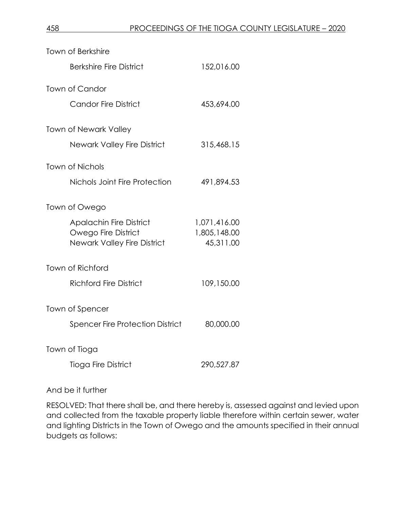| <b>Town of Berkshire</b>                                  |                           |
|-----------------------------------------------------------|---------------------------|
| <b>Berkshire Fire District</b>                            | 152,016.00                |
| <b>Town of Candor</b>                                     |                           |
| Candor Fire District                                      | 453,694.00                |
| <b>Town of Newark Valley</b>                              |                           |
| <b>Newark Valley Fire District</b>                        | 315,468.15                |
| <b>Town of Nichols</b>                                    |                           |
| Nichols Joint Fire Protection                             | 491,894.53                |
| Town of Owego                                             |                           |
| <b>Apalachin Fire District</b>                            | 1,071,416.00              |
| Owego Fire District<br><b>Newark Valley Fire District</b> | 1,805,148.00<br>45,311.00 |
| Town of Richford                                          |                           |
| <b>Richford Fire District</b>                             | 109,150.00                |
| Town of Spencer                                           |                           |
| <b>Spencer Fire Protection District</b>                   | 80,000.00                 |
| Town of Tioga                                             |                           |
| <b>Tioga Fire District</b>                                | 290,527.87                |

And be it further

RESOLVED: That there shall be, and there hereby is, assessed against and levied upon and collected from the taxable property liable therefore within certain sewer, water and lighting Districts in the Town of Owego and the amounts specified in their annual budgets as follows: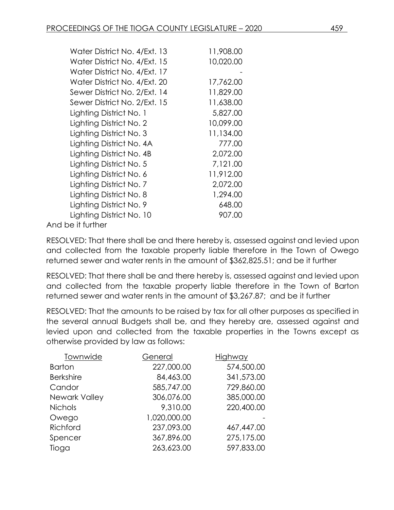| Water District No. 4/Ext. 13 | 11,908.00 |
|------------------------------|-----------|
| Water District No. 4/Ext. 15 | 10,020.00 |
| Water District No. 4/Ext. 17 |           |
| Water District No. 4/Ext. 20 | 17,762.00 |
| Sewer District No. 2/Ext. 14 | 11,829.00 |
| Sewer District No. 2/Ext. 15 | 11,638.00 |
| Lighting District No. 1      | 5,827.00  |
| Lighting District No. 2      | 10,099.00 |
| Lighting District No. 3      | 11,134.00 |
| Lighting District No. 4A     | 777.00    |
| Lighting District No. 4B     | 2,072.00  |
| Lighting District No. 5      | 7,121.00  |
| Lighting District No. 6      | 11,912.00 |
| Lighting District No. 7      | 2,072.00  |
| Lighting District No. 8      | 1,294.00  |
| Lighting District No. 9      | 648.00    |
| Lighting District No. 10     | 907.00    |
| $\sim$ it furth or           |           |

And be it further

RESOLVED: That there shall be and there hereby is, assessed against and levied upon and collected from the taxable property liable therefore in the Town of Owego returned sewer and water rents in the amount of \$362,825.51; and be it further

RESOLVED: That there shall be and there hereby is, assessed against and levied upon and collected from the taxable property liable therefore in the Town of Barton returned sewer and water rents in the amount of \$3,267.87; and be it further

RESOLVED: That the amounts to be raised by tax for all other purposes as specified in the several annual Budgets shall be, and they hereby are, assessed against and levied upon and collected from the taxable properties in the Towns except as otherwise provided by law as follows:

| Townwide         | General      | Highway    |
|------------------|--------------|------------|
| <b>Barton</b>    | 227,000.00   | 574,500.00 |
| <b>Berkshire</b> | 84,463.00    | 341,573.00 |
| Candor           | 585,747.00   | 729,860.00 |
| Newark Valley    | 306,076.00   | 385,000.00 |
| <b>Nichols</b>   | 9,310.00     | 220,400.00 |
| Owego            | 1,020,000.00 |            |
| Richford         | 237,093.00   | 467,447.00 |
| Spencer          | 367,896.00   | 275,175.00 |
| Tioga            | 263,623.00   | 597,833.00 |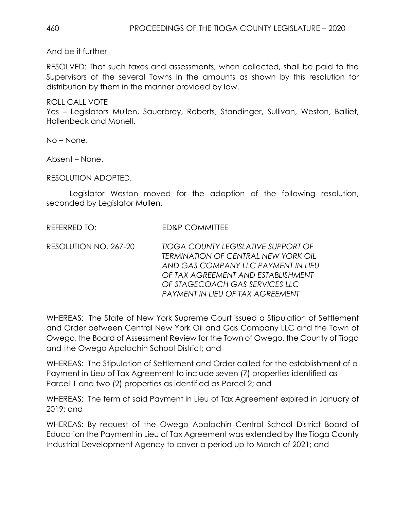And be it further

RESOLVED: That such taxes and assessments, when collected, shall be paid to the Supervisors of the several Towns in the amounts as shown by this resolution for distribution by them in the manner provided by law.

ROLL CALL VOTE

Yes – Legislators Mullen, Sauerbrey, Roberts, Standinger, Sullivan, Weston, Balliet, Hollenbeck and Monell.

No – None.

Absent – None.

RESOLUTION ADOPTED.

Legislator Weston moved for the adoption of the following resolution, seconded by Legislator Mullen.

REFERRED TO: FD&P COMMITTEE

RESOLUTION NO. 267-20 *TIOGA COUNTY LEGISLATIVE SUPPORT OF TERMINATION OF CENTRAL NEW YORK OIL AND GAS COMPANY LLC PAYMENT IN LIEU OF TAX AGREEMENT AND ESTABLISHMENT OF STAGECOACH GAS SERVICES LLC PAYMENT IN LIEU OF TAX AGREEMENT*

WHEREAS: The State of New York Supreme Court issued a Stipulation of Settlement and Order between Central New York Oil and Gas Company LLC and the Town of Owego, the Board of Assessment Review for the Town of Owego, the County of Tioga and the Owego Apalachin School District; and

WHEREAS: The Stipulation of Settlement and Order called for the establishment of a Payment in Lieu of Tax Agreement to include seven (7) properties identified as Parcel 1 and two (2) properties as identified as Parcel 2; and

WHEREAS: The term of said Payment in Lieu of Tax Agreement expired in January of 2019; and

WHEREAS: By request of the Owego Apalachin Central School District Board of Education the Payment in Lieu of Tax Agreement was extended by the Tioga County Industrial Development Agency to cover a period up to March of 2021; and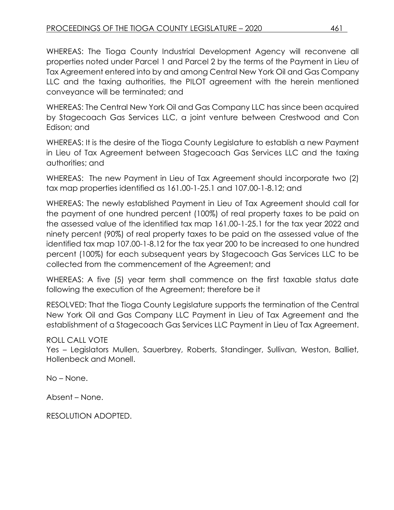WHEREAS: The Tioga County Industrial Development Agency will reconvene all properties noted under Parcel 1 and Parcel 2 by the terms of the Payment in Lieu of Tax Agreement entered into by and among Central New York Oil and Gas Company LLC and the taxing authorities, the PILOT agreement with the herein mentioned conveyance will be terminated; and

WHEREAS: The Central New York Oil and Gas Company LLC has since been acquired by Stagecoach Gas Services LLC, a joint venture between Crestwood and Con Edison; and

WHEREAS: It is the desire of the Tioga County Legislature to establish a new Payment in Lieu of Tax Agreement between Stagecoach Gas Services LLC and the taxing authorities; and

WHEREAS: The new Payment in Lieu of Tax Agreement should incorporate two (2) tax map properties identified as 161.00-1-25.1 and 107.00-1-8.12; and

WHEREAS: The newly established Payment in Lieu of Tax Agreement should call for the payment of one hundred percent (100%) of real property taxes to be paid on the assessed value of the identified tax map 161.00-1-25.1 for the tax year 2022 and ninety percent (90%) of real property taxes to be paid on the assessed value of the identified tax map 107.00-1-8.12 for the tax year 200 to be increased to one hundred percent (100%) for each subsequent years by Stagecoach Gas Services LLC to be collected from the commencement of the Agreement; and

WHEREAS: A five (5) year term shall commence on the first taxable status date following the execution of the Agreement; therefore be it

RESOLVED: That the Tioga County Legislature supports the termination of the Central New York Oil and Gas Company LLC Payment in Lieu of Tax Agreement and the establishment of a Stagecoach Gas Services LLC Payment in Lieu of Tax Agreement.

## ROLL CALL VOTE

Yes – Legislators Mullen, Sauerbrey, Roberts, Standinger, Sullivan, Weston, Balliet, Hollenbeck and Monell.

No – None.

Absent – None.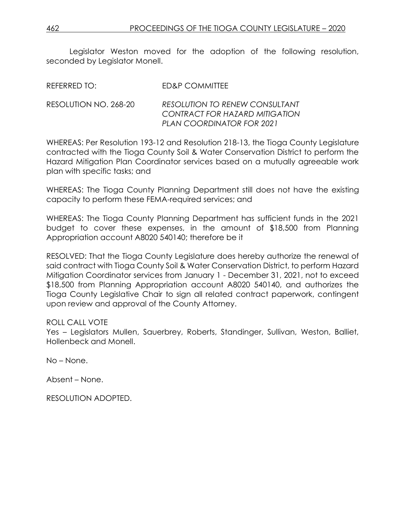Legislator Weston moved for the adoption of the following resolution, seconded by Legislator Monell.

| REFERRED TO:          | ED&P COMMITTEE                                                                                              |
|-----------------------|-------------------------------------------------------------------------------------------------------------|
| RESOLUTION NO. 268-20 | <b>RESOLUTION TO RENEW CONSULTANT</b><br>CONTRACT FOR HAZARD MITIGATION<br><b>PLAN COORDINATOR FOR 2021</b> |

WHEREAS: Per Resolution 193-12 and Resolution 218-13, the Tioga County Legislature contracted with the Tioga County Soil & Water Conservation District to perform the Hazard Mitigation Plan Coordinator services based on a mutually agreeable work plan with specific tasks; and

WHEREAS: The Tioga County Planning Department still does not have the existing capacity to perform these FEMA-required services; and

WHEREAS: The Tioga County Planning Department has sufficient funds in the 2021 budget to cover these expenses, in the amount of \$18,500 from Planning Appropriation account A8020 540140; therefore be it

RESOLVED: That the Tioga County Legislature does hereby authorize the renewal of said contract with Tioga County Soil & Water Conservation District, to perform Hazard Mitigation Coordinator services from January 1 - December 31, 2021, not to exceed \$18,500 from Planning Appropriation account A8020 540140, and authorizes the Tioga County Legislative Chair to sign all related contract paperwork, contingent upon review and approval of the County Attorney.

#### ROLL CALL VOTE

Yes – Legislators Mullen, Sauerbrey, Roberts, Standinger, Sullivan, Weston, Balliet, Hollenbeck and Monell.

No – None.

Absent – None.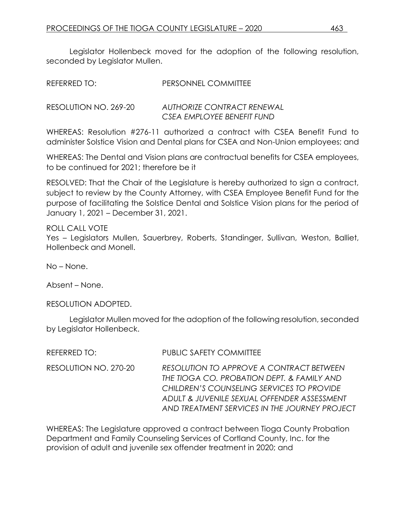Legislator Hollenbeck moved for the adoption of the following resolution, seconded by Legislator Mullen.

| REFERRED TO: | <b>PERSONNEL COMMITTEE</b> |
|--------------|----------------------------|
|              |                            |

RESOLUTION NO. 269-20 *AUTHORIZE CONTRACT RENEWAL CSEA EMPLOYEE BENEFIT FUND*

WHEREAS: Resolution #276-11 authorized a contract with CSEA Benefit Fund to administer Solstice Vision and Dental plans for CSEA and Non-Union employees; and

WHEREAS: The Dental and Vision plans are contractual benefits for CSEA employees, to be continued for 2021; therefore be it

RESOLVED: That the Chair of the Legislature is hereby authorized to sign a contract, subject to review by the County Attorney, with CSEA Employee Benefit Fund for the purpose of facilitating the Solstice Dental and Solstice Vision plans for the period of January 1, 2021 – December 31, 2021.

#### ROLL CALL VOTE

Yes – Legislators Mullen, Sauerbrey, Roberts, Standinger, Sullivan, Weston, Balliet, Hollenbeck and Monell.

No – None.

Absent – None.

RESOLUTION ADOPTED.

Legislator Mullen moved for the adoption of the following resolution, seconded by Legislator Hollenbeck.

REFERRED TO: PUBLIC SAFETY COMMITTEE

RESOLUTION NO. 270-20 *RESOLUTION TO APPROVE A CONTRACT BETWEEN THE TIOGA CO. PROBATION DEPT. & FAMILY AND CHILDREN'S COUNSELING SERVICES TO PROVIDE ADULT & JUVENILE SEXUAL OFFENDER ASSESSMENT AND TREATMENT SERVICES IN THE JOURNEY PROJECT* 

WHEREAS: The Legislature approved a contract between Tioga County Probation Department and Family Counseling Services of Cortland County, Inc. for the provision of adult and juvenile sex offender treatment in 2020; and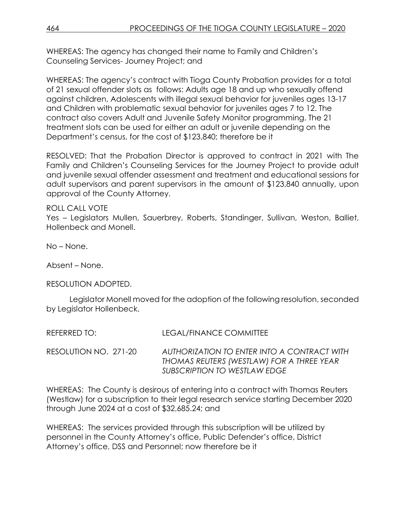WHEREAS: The agency has changed their name to Family and Children's Counseling Services- Journey Project; and

WHEREAS: The agency's contract with Tioga County Probation provides for a total of 21 sexual offender slots as follows: Adults age 18 and up who sexually offend against children, Adolescents with illegal sexual behavior for juveniles ages 13-17 and Children with problematic sexual behavior for juveniles ages 7 to 12. The contract also covers Adult and Juvenile Safety Monitor programming. The 21 treatment slots can be used for either an adult or juvenile depending on the Department's census, for the cost of \$123,840; therefore be it

RESOLVED: That the Probation Director is approved to contract in 2021 with The Family and Children's Counseling Services for the Journey Project to provide adult and juvenile sexual offender assessment and treatment and educational sessions for adult supervisors and parent supervisors in the amount of \$123,840 annually, upon approval of the County Attorney.

### ROLL CALL VOTE

Yes – Legislators Mullen, Sauerbrey, Roberts, Standinger, Sullivan, Weston, Balliet, Hollenbeck and Monell.

No – None.

Absent – None.

#### RESOLUTION ADOPTED.

Legislator Monell moved for the adoption of the following resolution, seconded by Legislator Hollenbeck.

| REFERRED TO:          | LEGAL/FINANCE COMMITTEE                                                                                                  |
|-----------------------|--------------------------------------------------------------------------------------------------------------------------|
| RESOLUTION NO. 271-20 | AUTHORIZATION TO ENTER INTO A CONTRACT WITH<br>THOMAS REUTERS (WESTLAW) FOR A THREE YEAR<br>SUBSCRIPTION TO WESTLAW EDGE |

WHEREAS: The County is desirous of entering into a contract with Thomas Reuters (Westlaw) for a subscription to their legal research service starting December 2020 through June 2024 at a cost of \$32,685.24; and

WHEREAS: The services provided through this subscription will be utilized by personnel in the County Attorney's office, Public Defender's office, District Attorney's office, DSS and Personnel; now therefore be it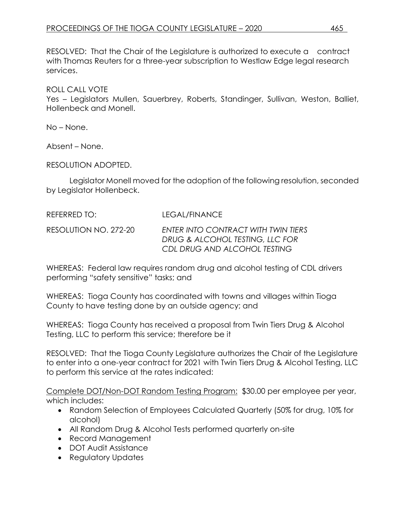RESOLVED: That the Chair of the Legislature is authorized to execute a contract with Thomas Reuters for a three-year subscription to Westlaw Edge legal research services.

ROLL CALL VOTE

Yes – Legislators Mullen, Sauerbrey, Roberts, Standinger, Sullivan, Weston, Balliet, Hollenbeck and Monell.

No – None.

Absent – None.

RESOLUTION ADOPTED.

Legislator Monell moved for the adoption of the following resolution, seconded by Legislator Hollenbeck.

| REFERRED TO:          | LEGAL/FINANCE                                                                                          |
|-----------------------|--------------------------------------------------------------------------------------------------------|
| RESOLUTION NO. 272-20 | ENTER INTO CONTRACT WITH TWIN TIERS<br>DRUG & ALCOHOL TESTING, LLC FOR<br>CDL DRUG AND ALCOHOL TESTING |

WHEREAS: Federal law requires random drug and alcohol testing of CDL drivers performing "safety sensitive" tasks; and

WHEREAS: Tioga County has coordinated with towns and villages within Tioga County to have testing done by an outside agency; and

WHEREAS: Tioga County has received a proposal from Twin Tiers Drug & Alcohol Testing, LLC to perform this service; therefore be it

RESOLVED: That the Tioga County Legislature authorizes the Chair of the Legislature to enter into a one-year contract for 2021 with Twin Tiers Drug & Alcohol Testing, LLC to perform this service at the rates indicated:

Complete DOT/Non-DOT Random Testing Program: \$30.00 per employee per year, which includes:

- Random Selection of Employees Calculated Quarterly (50% for drug, 10% for alcohol)
- All Random Drug & Alcohol Tests performed quarterly on-site
- Record Management
- DOT Audit Assistance
- Regulatory Updates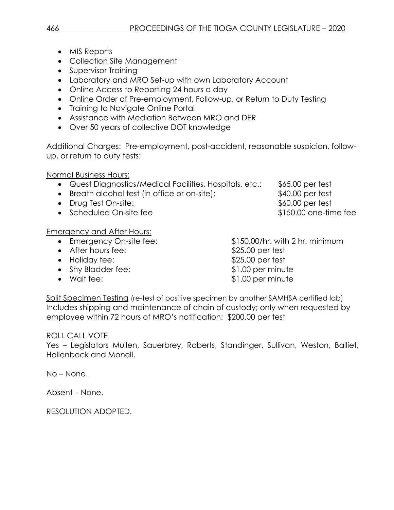- MIS Reports
- Collection Site Management
- Supervisor Training
- Laboratory and MRO Set-up with own Laboratory Account
- Online Access to Reporting 24 hours a day
- Online Order of Pre-employment, Follow-up, or Return to Duty Testing
- Training to Navigate Online Portal
- Assistance with Mediation Between MRO and DER
- Over 50 years of collective DOT knowledge

Additional Charges: Pre-employment, post-accident, reasonable suspicion, followup, or return to duty tests:

Normal Business Hours:

- Quest Diagnostics/Medical Facilities, Hospitals, etc.: \$65.00 per test
- Breath alcohol test (in office or on-site): \$40.00 per test
- Drug Test On-site:  $$60.00$  per test
- Scheduled On-site fee  $$150.00$  one-time fee

Emergency and After Hours:

- 
- 
- 
- Shy Bladder fee:  $$1.00$  per minute
- 

 Emergency On-site fee: \$150.00/hr. with 2 hr. minimum • After hours fee:  $$25.00$  per test • Holiday fee: \$25.00 per test • Wait fee:  $$1.00$  per minute

Split Specimen Testing (re-test of positive specimen by another SAMHSA certified lab) Includes shipping and maintenance of chain of custody; only when requested by employee within 72 hours of MRO's notification: \$200.00 per test

## ROLL CALL VOTE

Yes – Legislators Mullen, Sauerbrey, Roberts, Standinger, Sullivan, Weston, Balliet, Hollenbeck and Monell.

No – None.

Absent – None.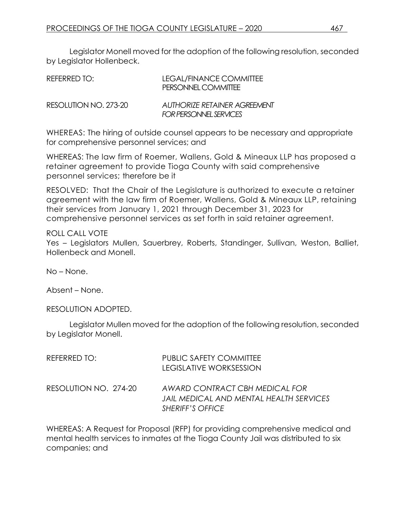Legislator Monell moved for the adoption of the following resolution, seconded by Legislator Hollenbeck.

| REFERRED TO:          | LEGAL/FINANCE COMMITTEE<br>PERSONNEL COMMITTEE                |
|-----------------------|---------------------------------------------------------------|
| RESOLUTION NO. 273-20 | <b>AUTHORIZE RETAINER AGREEMENT</b><br>FOR PERSONNEL SERVICES |

WHEREAS: The hiring of outside counsel appears to be necessary and appropriate for comprehensive personnel services; and

WHEREAS: The law firm of Roemer, Wallens, Gold & Mineaux LLP has proposed a retainer agreement to provide Tioga County with said comprehensive personnel services; therefore be it

RESOLVED: That the Chair of the Legislature is authorized to execute a retainer agreement with the law firm of Roemer, Wallens, Gold & Mineaux LLP, retaining their services from January 1, 2021 through December 31, 2023 for comprehensive personnel services as set forth in said retainer agreement.

ROLL CALL VOTE Yes – Legislators Mullen, Sauerbrey, Roberts, Standinger, Sullivan, Weston, Balliet, Hollenbeck and Monell.

No – None.

Absent – None.

RESOLUTION ADOPTED.

Legislator Mullen moved for the adoption of the following resolution, seconded by Legislator Monell.

| REFERRED TO:           | <b>PUBLIC SAFETY COMMITTEE</b><br><b>LEGISLATIVE WORKSESSION</b>                              |
|------------------------|-----------------------------------------------------------------------------------------------|
| RESOLUTION NO.  274-20 | AWARD CONTRACT CBH MEDICAL FOR<br>JAIL MEDICAL AND MENTAL HEALTH SERVICES<br>SHERIFF'S OFFICE |

WHEREAS: A Request for Proposal (RFP) for providing comprehensive medical and mental health services to inmates at the Tioga County Jail was distributed to six companies; and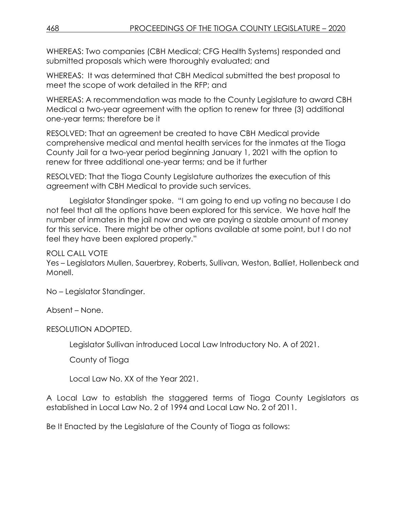WHEREAS: Two companies (CBH Medical; CFG Health Systems) responded and submitted proposals which were thoroughly evaluated; and

WHEREAS: It was determined that CBH Medical submitted the best proposal to meet the scope of work detailed in the RFP; and

WHEREAS: A recommendation was made to the County Legislature to award CBH Medical a two-year agreement with the option to renew for three (3) additional one-year terms; therefore be it

RESOLVED: That an agreement be created to have CBH Medical provide comprehensive medical and mental health services for the inmates at the Tioga County Jail for a two-year period beginning January 1, 2021 with the option to renew for three additional one-year terms; and be it further

RESOLVED: That the Tioga County Legislature authorizes the execution of this agreement with CBH Medical to provide such services.

Legislator Standinger spoke. "I am going to end up voting no because I do not feel that all the options have been explored for this service. We have half the number of inmates in the jail now and we are paying a sizable amount of money for this service. There might be other options available at some point, but I do not feel they have been explored properly."

ROLL CALL VOTE

Yes – Legislators Mullen, Sauerbrey, Roberts, Sullivan, Weston, Balliet, Hollenbeck and Monell.

No – Legislator Standinger.

Absent – None.

RESOLUTION ADOPTED.

Legislator Sullivan introduced Local Law Introductory No. A of 2021.

County of Tioga

Local Law No. XX of the Year 2021.

A Local Law to establish the staggered terms of Tioga County Legislators as established in Local Law No. 2 of 1994 and Local Law No. 2 of 2011.

Be It Enacted by the Legislature of the County of Tioga as follows: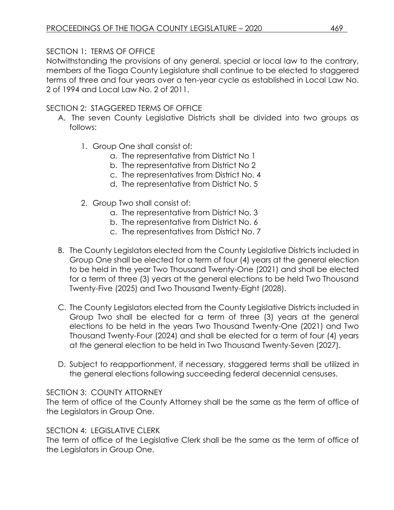## SECTION 1: TERMS OF OFFICE

Notwithstanding the provisions of any general, special or local law to the contrary, members of the Tioga County Legislature shall continue to be elected to staggered terms of three and four years over a ten-year cycle as established in Local Law No. 2 of 1994 and Local Law No. 2 of 2011.

## SECTION 2: STAGGERED TERMS OF OFFICE

- A. The seven County Legislative Districts shall be divided into two groups as follows:
	- 1. Group One shall consist of:
		- a. The representative from District No 1
		- b. The representative from District No 2
		- c. The representatives from District No. 4
		- d. The representative from District No. 5
	- 2. Group Two shall consist of:
		- a. The representative from District No. 3
		- b. The representative from District No. 6
		- c. The representatives from District No. 7
- B. The County Legislators elected from the County Legislative Districts included in Group One shall be elected for a term of four (4) years at the general election to be held in the year Two Thousand Twenty-One (2021) and shall be elected for a term of three (3) years at the general elections to be held Two Thousand Twenty-Five (2025) and Two Thousand Twenty-Eight (2028).
- C. The County Legislators elected from the County Legislative Districts included in Group Two shall be elected for a term of three (3) years at the general elections to be held in the years Two Thousand Twenty-One (2021) and Two Thousand Twenty-Four (2024) and shall be elected for a term of four (4) years at the general election to be held in Two Thousand Twenty-Seven (2027).
- D. Subject to reapportionment, if necessary, staggered terms shall be utilized in the general elections following succeeding federal decennial censuses.

## SECTION 3: COUNTY ATTORNEY

The term of office of the County Attorney shall be the same as the term of office of the Legislators in Group One.

## SECTION 4: LEGISLATIVE CLERK

The term of office of the Legislative Clerk shall be the same as the term of office of the Legislators in Group One.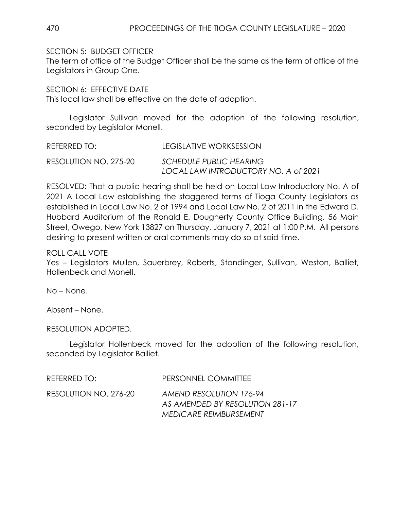SECTION 5: BUDGET OFFICER

The term of office of the Budget Officer shall be the same as the term of office of the Legislators in Group One.

SECTION 6: FEFECTIVE DATE

This local law shall be effective on the date of adoption.

Legislator Sullivan moved for the adoption of the following resolution, seconded by Legislator Monell.

| REFERRED TO:          | LEGISLATIVE WORKSESSION              |
|-----------------------|--------------------------------------|
| RESOLUTION NO. 275-20 | <b>SCHEDULE PUBLIC HEARING</b>       |
|                       | LOCAL LAW INTRODUCTORY NO. A of 2021 |

RESOLVED: That a public hearing shall be held on Local Law Introductory No. A of 2021 A Local Law establishing the staggered terms of Tioga County Legislators as established in Local Law No. 2 of 1994 and Local Law No. 2 of 2011 in the Edward D. Hubbard Auditorium of the Ronald E. Dougherty County Office Building, 56 Main Street, Owego, New York 13827 on Thursday, January 7, 2021 at 1:00 P.M. All persons desiring to present written or oral comments may do so at said time.

ROLL CALL VOTE

Yes – Legislators Mullen, Sauerbrey, Roberts, Standinger, Sullivan, Weston, Balliet, Hollenbeck and Monell.

No – None.

Absent – None.

RESOLUTION ADOPTED.

Legislator Hollenbeck moved for the adoption of the following resolution, seconded by Legislator Balliet.

| REFERRED TO:          | PERSONNEL COMMITTEE                                                                         |
|-----------------------|---------------------------------------------------------------------------------------------|
| RESOLUTION NO. 276-20 | AMEND RESOLUTION 176-94<br>AS AMENDED BY RESOLUTION 281-17<br><b>MEDICARE REIMBURSEMENT</b> |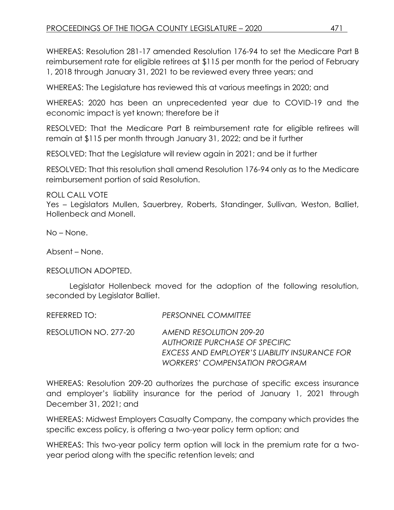WHEREAS: Resolution 281-17 amended Resolution 176-94 to set the Medicare Part B reimbursement rate for eligible retirees at \$115 per month for the period of February 1, 2018 through January 31, 2021 to be reviewed every three years; and

WHEREAS: The Legislature has reviewed this at various meetings in 2020; and

WHEREAS: 2020 has been an unprecedented year due to COVID-19 and the economic impact is yet known; therefore be it

RESOLVED: That the Medicare Part B reimbursement rate for eligible retirees will remain at \$115 per month through January 31, 2022; and be it further

RESOLVED: That the Legislature will review again in 2021; and be it further

RESOLVED: That this resolution shall amend Resolution 176-94 only as to the Medicare reimbursement portion of said Resolution.

ROLL CALL VOTE

Yes – Legislators Mullen, Sauerbrey, Roberts, Standinger, Sullivan, Weston, Balliet, Hollenbeck and Monell.

No – None.

Absent – None.

RESOLUTION ADOPTED.

Legislator Hollenbeck moved for the adoption of the following resolution, seconded by Legislator Balliet.

REFERRED TO: *PERSONNEL COMMITTEE*

RESOLUTION NO. 277-20 *AMEND RESOLUTION 209-20 AUTHORIZE PURCHASE OF SPECIFIC EXCESS AND EMPLOYER'S LIABILITY INSURANCE FOR WORKERS' COMPENSATION PROGRAM*

WHEREAS: Resolution 209-20 authorizes the purchase of specific excess insurance and employer's liability insurance for the period of January 1, 2021 through December 31, 2021; and

WHEREAS: Midwest Employers Casualty Company, the company which provides the specific excess policy, is offering a two-year policy term option; and

WHEREAS: This two-year policy term option will lock in the premium rate for a twoyear period along with the specific retention levels; and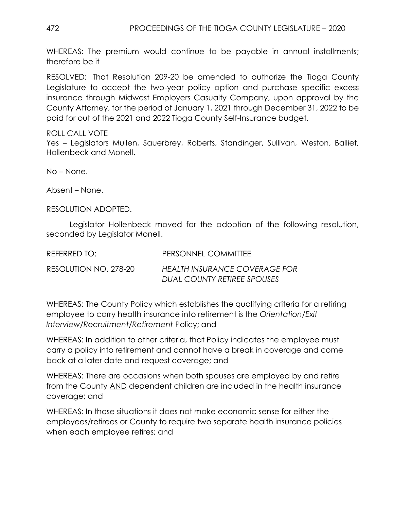WHEREAS: The premium would continue to be payable in annual installments; therefore be it

RESOLVED: That Resolution 209-20 be amended to authorize the Tioga County Legislature to accept the two-year policy option and purchase specific excess insurance through Midwest Employers Casualty Company, upon approval by the County Attorney, for the period of January 1, 2021 through December 31, 2022 to be paid for out of the 2021 and 2022 Tioga County Self-Insurance budget.

### ROLL CALL VOTE

Yes – Legislators Mullen, Sauerbrey, Roberts, Standinger, Sullivan, Weston, Balliet, Hollenbeck and Monell.

No – None.

Absent – None.

RESOLUTION ADOPTED.

Legislator Hollenbeck moved for the adoption of the following resolution, seconded by Legislator Monell.

| REFERRED TO:          | PERSONNEL COMMITTEE           |
|-----------------------|-------------------------------|
| RESOLUTION NO. 278-20 | HEALTH INSURANCE COVERAGE FOR |
|                       | DUAL COUNTY RETIREE SPOUSES   |

WHEREAS: The County Policy which establishes the qualifying criteria for a retiring employee to carry health insurance into retirement is the *Orientation/Exit Interview/Recruitment/Retirement* Policy; and

WHEREAS: In addition to other criteria, that Policy indicates the employee must carry a policy into retirement and cannot have a break in coverage and come back at a later date and request coverage; and

WHEREAS: There are occasions when both spouses are employed by and retire from the County AND dependent children are included in the health insurance coverage; and

WHEREAS: In those situations it does not make economic sense for either the employees/retirees or County to require two separate health insurance policies when each employee retires; and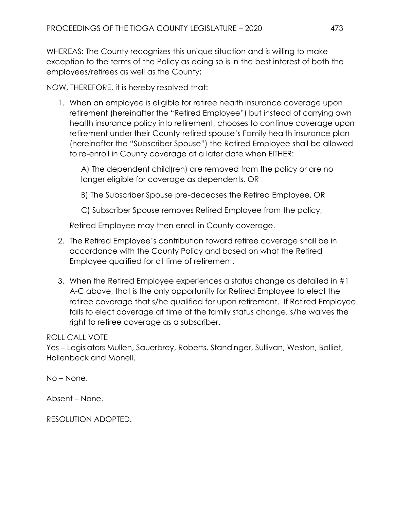WHEREAS: The County recognizes this unique situation and is willing to make exception to the terms of the Policy as doing so is in the best interest of both the employees/retirees as well as the County;

NOW, THEREFORE, it is hereby resolved that:

1. When an employee is eligible for retiree health insurance coverage upon retirement (hereinafter the "Retired Employee") but instead of carrying own health insurance policy into retirement, chooses to continue coverage upon retirement under their County-retired spouse's Family health insurance plan (hereinafter the "Subscriber Spouse") the Retired Employee shall be allowed to re-enroll in County coverage at a later date when EITHER:

A) The dependent child(ren) are removed from the policy or are no longer eligible for coverage as dependents, OR

B) The Subscriber Spouse pre-deceases the Retired Employee, OR

C) Subscriber Spouse removes Retired Employee from the policy,

Retired Employee may then enroll in County coverage.

- 2. The Retired Employee's contribution toward retiree coverage shall be in accordance with the County Policy and based on what the Retired Employee qualified for at time of retirement.
- 3. When the Retired Employee experiences a status change as detailed in #1 A-C above, that is the only opportunity for Retired Employee to elect the retiree coverage that s/he qualified for upon retirement. If Retired Employee fails to elect coverage at time of the family status change, s/he waives the right to retiree coverage as a subscriber.

## ROLL CALL VOTE

Yes – Legislators Mullen, Sauerbrey, Roberts, Standinger, Sullivan, Weston, Balliet, Hollenbeck and Monell.

No – None.

Absent – None.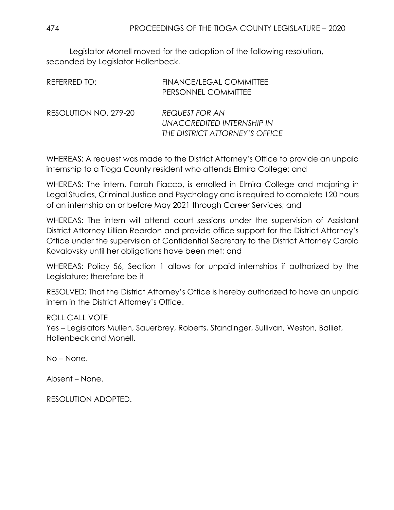Legislator Monell moved for the adoption of the following resolution, seconded by Legislator Hollenbeck.

| REFERRED TO:          | <b>FINANCE/LEGAL COMMITTEE</b><br>PERSONNEL COMMITTEE                                 |
|-----------------------|---------------------------------------------------------------------------------------|
| RESOLUTION NO. 279-20 | <b>REQUEST FOR AN</b><br>UNACCREDITED INTERNSHIP IN<br>THE DISTRICT ATTORNEY'S OFFICE |

WHEREAS: A request was made to the District Attorney's Office to provide an unpaid internship to a Tioga County resident who attends Elmira College; and

WHEREAS: The intern, Farrah Fiacco, is enrolled in Elmira College and majoring in Legal Studies, Criminal Justice and Psychology and is required to complete 120 hours of an internship on or before May 2021 through Career Services; and

WHEREAS: The intern will attend court sessions under the supervision of Assistant District Attorney Lillian Reardon and provide office support for the District Attorney's Office under the supervision of Confidential Secretary to the District Attorney Carola Kovalovsky until her obligations have been met; and

WHEREAS: Policy 56, Section 1 allows for unpaid internships if authorized by the Legislature; therefore be it

RESOLVED: That the District Attorney's Office is hereby authorized to have an unpaid intern in the District Attorney's Office.

ROLL CALL VOTE Yes – Legislators Mullen, Sauerbrey, Roberts, Standinger, Sullivan, Weston, Balliet, Hollenbeck and Monell.

No – None.

Absent – None.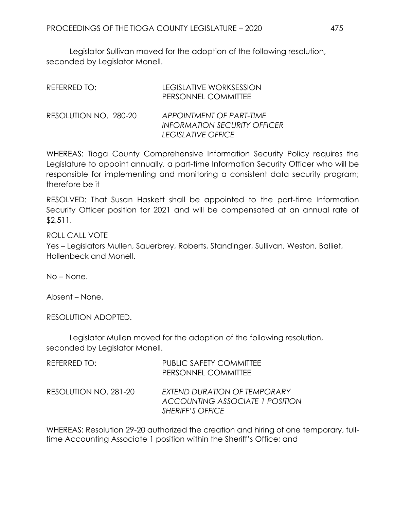Legislator Sullivan moved for the adoption of the following resolution, seconded by Legislator Monell.

| REFERRED TO:          | <b>LEGISLATIVE WORKSESSION</b><br>PERSONNEL COMMITTEE                                 |
|-----------------------|---------------------------------------------------------------------------------------|
| RESOLUTION NO. 280-20 | APPOINTMENT OF PART-TIME<br><b>INFORMATION SECURITY OFFICER</b><br>LEGISLATIVE OFFICE |

WHEREAS: Tioga County Comprehensive Information Security Policy requires the Legislature to appoint annually, a part-time Information Security Officer who will be responsible for implementing and monitoring a consistent data security program; therefore be it

RESOLVED: That Susan Haskett shall be appointed to the part-time Information Security Officer position for 2021 and will be compensated at an annual rate of \$2,511.

ROLL CALL VOTE

Yes – Legislators Mullen, Sauerbrey, Roberts, Standinger, Sullivan, Weston, Balliet, Hollenbeck and Monell.

No – None.

Absent – None.

RESOLUTION ADOPTED.

Legislator Mullen moved for the adoption of the following resolution, seconded by Legislator Monell.

| REFERRED TO:          | <b>PUBLIC SAFETY COMMITTEE</b><br>PERSONNEL COMMITTEE                                             |
|-----------------------|---------------------------------------------------------------------------------------------------|
| RESOLUTION NO. 281-20 | EXTEND DURATION OF TEMPORARY<br><b>ACCOUNTING ASSOCIATE 1 POSITION</b><br><b>SHERIFF'S OFFICE</b> |

WHEREAS: Resolution 29-20 authorized the creation and hiring of one temporary, fulltime Accounting Associate 1 position within the Sheriff's Office; and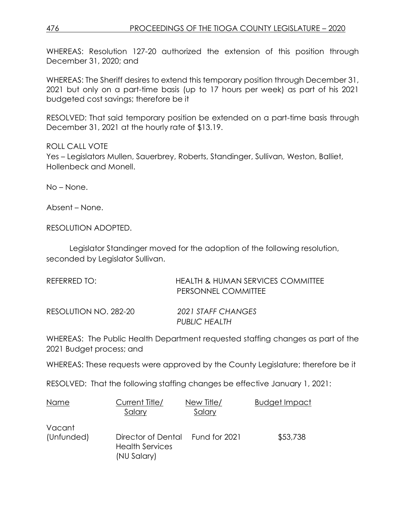WHEREAS: Resolution 127-20 authorized the extension of this position through December 31, 2020; and

WHEREAS: The Sheriff desires to extend this temporary position through December 31, 2021 but only on a part-time basis (up to 17 hours per week) as part of his 2021 budgeted cost savings; therefore be it

RESOLVED: That said temporary position be extended on a part-time basis through December 31, 2021 at the hourly rate of \$13.19.

ROLL CALL VOTE Yes – Legislators Mullen, Sauerbrey, Roberts, Standinger, Sullivan, Weston, Balliet, Hollenbeck and Monell.

No – None.

Absent – None.

RESOLUTION ADOPTED.

Legislator Standinger moved for the adoption of the following resolution, seconded by Legislator Sullivan.

| REFERRED TO:          | HEALTH & HUMAN SERVICES COMMITTEE<br>PERSONNEL COMMITTEE |
|-----------------------|----------------------------------------------------------|
| RESOLUTION NO. 282-20 | 2021 STAFF CHANGES<br>PUBLIC HEALTH                      |

WHEREAS: The Public Health Department requested staffing changes as part of the 2021 Budget process; and

WHEREAS: These requests were approved by the County Legislature; therefore be it

RESOLVED: That the following staffing changes be effective January 1, 2021:

| Name                 | Current Title/<br>Salary                                    | New Title/<br>Salary | <b>Budget Impact</b> |
|----------------------|-------------------------------------------------------------|----------------------|----------------------|
| Vacant<br>(Unfunded) | Director of Dental<br><b>Health Services</b><br>(NU Salary) | Fund for 2021        | \$53,738             |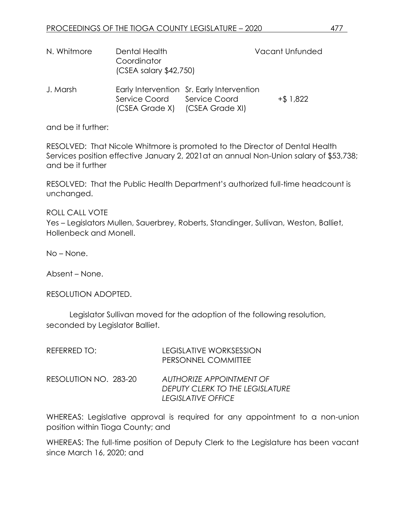| N. Whitmore | Dental Health<br>Coordinator<br>$(CSEA$ salary \$42,750)      |                                           | Vacant Unfunded |
|-------------|---------------------------------------------------------------|-------------------------------------------|-----------------|
| J. Marsh    | Service Coord Service Coord<br>(CSEA Grade X) (CSEA Grade XI) | Early Intervention Sr. Early Intervention | $+$ \$ 1,822    |

and be it further:

RESOLVED: That Nicole Whitmore is promoted to the Director of Dental Health Services position effective January 2, 2021at an annual Non-Union salary of \$53,738; and be it further

RESOLVED: That the Public Health Department's authorized full-time headcount is unchanged.

ROLL CALL VOTE Yes – Legislators Mullen, Sauerbrey, Roberts, Standinger, Sullivan, Weston, Balliet, Hollenbeck and Monell.

No – None.

Absent – None.

RESOLUTION ADOPTED.

Legislator Sullivan moved for the adoption of the following resolution, seconded by Legislator Balliet.

| REFERRED TO:          | <b>LEGISLATIVE WORKSESSION</b><br>PERSONNEL COMMITTEE                                    |
|-----------------------|------------------------------------------------------------------------------------------|
| RESOLUTION NO. 283-20 | <b>AUTHORIZE APPOINTMENT OF</b><br>DEPUTY CLERK TO THE LEGISLATURE<br>LEGISLATIVE OFFICE |

WHEREAS: Legislative approval is required for any appointment to a non-union position within Tioga County; and

WHEREAS: The full-time position of Deputy Clerk to the Legislature has been vacant since March 16, 2020; and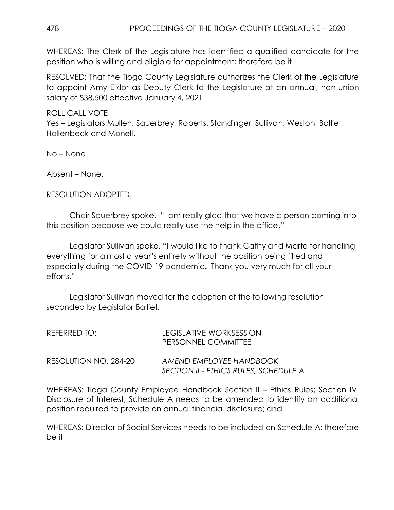WHEREAS: The Clerk of the Legislature has identified a qualified candidate for the position who is willing and eligible for appointment; therefore be it

RESOLVED: That the Tioga County Legislature authorizes the Clerk of the Legislature to appoint Amy Eiklor as Deputy Clerk to the Legislature at an annual, non-union salary of \$38,500 effective January 4, 2021.

ROLL CALL VOTE Yes – Legislators Mullen, Sauerbrey, Roberts, Standinger, Sullivan, Weston, Balliet, Hollenbeck and Monell.

No – None.

Absent – None.

RESOLUTION ADOPTED.

Chair Sauerbrey spoke. "I am really glad that we have a person coming into this position because we could really use the help in the office."

Legislator Sullivan spoke. "I would like to thank Cathy and Marte for handling everything for almost a year's entirety without the position being filled and especially during the COVID-19 pandemic. Thank you very much for all your efforts."

Legislator Sullivan moved for the adoption of the following resolution, seconded by Legislator Balliet.

| REFERRED TO: I        | LEGISLATIVE WORKSESSION<br>PERSONNEL COMMITTEE                   |
|-----------------------|------------------------------------------------------------------|
| RESOLUTION NO. 284-20 | AMEND EMPLOYEE HANDBOOK<br>SECTION II - ETHICS RULES, SCHEDULE A |

WHEREAS: Tioga County Employee Handbook Section II – Ethics Rules; Section IV. Disclosure of Interest, Schedule A needs to be amended to identify an additional position required to provide an annual financial disclosure; and

WHEREAS: Director of Social Services needs to be included on Schedule A; therefore be it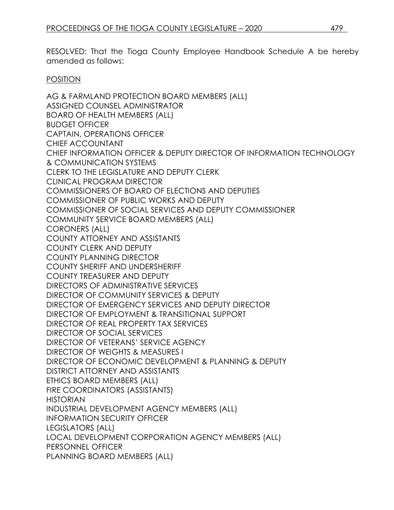RESOLVED: That the Tioga County Employee Handbook Schedule A be hereby amended as follows:

#### POSITION

AG & FARMLAND PROTECTION BOARD MEMBERS (ALL) ASSIGNED COUNSEL ADMINISTRATOR BOARD OF HEALTH MEMBERS (ALL) BUDGET OFFICER CAPTAIN, OPERATIONS OFFICER CHIEF ACCOUNTANT CHIEF INFORMATION OFFICER & DEPUTY DIRECTOR OF INFORMATION TECHNOLOGY & COMMUNICATION SYSTEMS CLERK TO THE LEGISLATURE AND DEPUTY CLERK CLINICAL PROGRAM DIRECTOR COMMISSIONERS OF BOARD OF ELECTIONS AND DEPUTIES COMMISSIONER OF PUBLIC WORKS AND DEPUTY COMMISSIONER OF SOCIAL SERVICES AND DEPUTY COMMISSIONER COMMUNITY SERVICE BOARD MEMBERS (ALL) CORONERS (ALL) COUNTY ATTORNEY AND ASSISTANTS COUNTY CLERK AND DEPUTY COUNTY PLANNING DIRECTOR COUNTY SHERIFF AND UNDERSHERIFF COUNTY TREASURER AND DEPUTY DIRECTORS OF ADMINISTRATIVE SERVICES DIRECTOR OF COMMUNITY SERVICES & DEPUTY DIRECTOR OF EMERGENCY SERVICES AND DEPUTY DIRECTOR DIRECTOR OF EMPLOYMENT & TRANSITIONAL SUPPORT DIRECTOR OF REAL PROPERTY TAX SERVICES DIRECTOR OF SOCIAL SERVICES DIRECTOR OF VETERANS' SERVICE AGENCY DIRECTOR OF WEIGHTS & MEASURES I DIRECTOR OF ECONOMIC DEVELOPMENT & PLANNING & DEPUTY DISTRICT ATTORNEY AND ASSISTANTS ETHICS BOARD MEMBERS (ALL) FIRE COORDINATORS (ASSISTANTS) **HISTORIAN** INDUSTRIAL DEVELOPMENT AGENCY MEMBERS (ALL) INFORMATION SECURITY OFFICER LEGISLATORS (ALL) LOCAL DEVELOPMENT CORPORATION AGENCY MEMBERS (ALL) PERSONNEL OFFICER PLANNING BOARD MEMBERS (ALL)